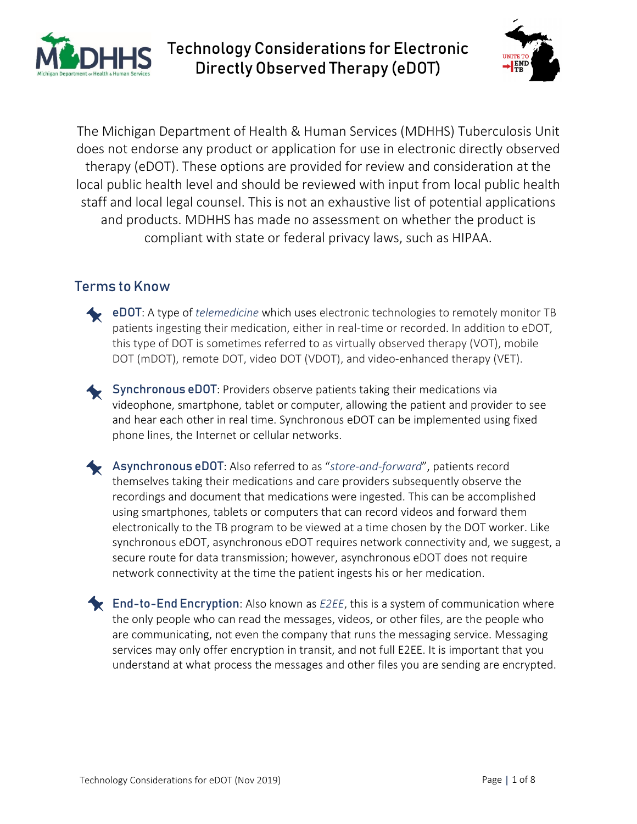



The Michigan Department of Health & Human Services (MDHHS) Tuberculosis Unit does not endorse any product or application for use in electronic directly observed therapy (eDOT). These options are provided for review and consideration at the local public health level and should be reviewed with input from local public health staff and local legal counsel. This is not an exhaustive list of potential applications and products. MDHHS has made no assessment on whether the product is compliant with state or federal privacy laws, such as HIPAA.

### Terms to Know

- eDOT: A type of *telemedicine* which uses electronic technologies to remotely monitor TB patients ingesting their medication, either in real-time or recorded. In addition to eDOT, this type of DOT is sometimes referred to as virtually observed therapy (VOT), mobile DOT (mDOT), remote DOT, video DOT (VDOT), and video-enhanced therapy (VET).
- Synchronous eDOT: Providers observe patients taking their medications via videophone, smartphone, tablet or computer, allowing the patient and provider to see and hear each other in real time. Synchronous eDOT can be implemented using fixed phone lines, the Internet or cellular networks.
- Asynchronous eDOT: Also referred to as "*store-and-forward*", patients record themselves taking their medications and care providers subsequently observe the recordings and document that medications were ingested. This can be accomplished using smartphones, tablets or computers that can record videos and forward them electronically to the TB program to be viewed at a time chosen by the DOT worker. Like synchronous eDOT, asynchronous eDOT requires network connectivity and, we suggest, a secure route for data transmission; however, asynchronous eDOT does not require network connectivity at the time the patient ingests his or her medication.
- **End-to-End Encryption**: Also known as *E2EE*, this is a system of communication where the only people who can read the messages, videos, or other files, are the people who are communicating, not even the company that runs the messaging service. Messaging services may only offer encryption in transit, and not full E2EE. It is important that you understand at what process the messages and other files you are sending are encrypted.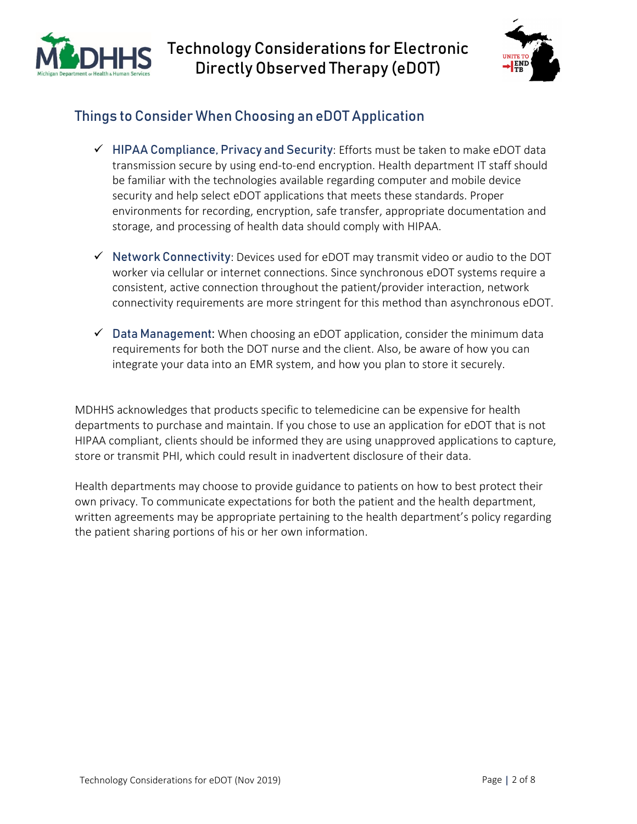



### Things to Consider When Choosing an eDOT Application

- $\checkmark$  HIPAA Compliance, Privacy and Security: Efforts must be taken to make eDOT data transmission secure by using end-to-end encryption. Health department IT staff should be familiar with the technologies available regarding computer and mobile device security and help select eDOT applications that meets these standards. Proper environments for recording, encryption, safe transfer, appropriate documentation and storage, and processing of health data should comply with HIPAA.
- $\checkmark$  Network Connectivity: Devices used for eDOT may transmit video or audio to the DOT worker via cellular or internet connections. Since synchronous eDOT systems require a consistent, active connection throughout the patient/provider interaction, network connectivity requirements are more stringent for this method than asynchronous eDOT.
- $\checkmark$  Data Management: When choosing an eDOT application, consider the minimum data requirements for both the DOT nurse and the client. Also, be aware of how you can integrate your data into an EMR system, and how you plan to store it securely.

MDHHS acknowledges that products specific to telemedicine can be expensive for health departments to purchase and maintain. If you chose to use an application for eDOT that is not HIPAA compliant, clients should be informed they are using unapproved applications to capture, store or transmit PHI, which could result in inadvertent disclosure of their data.

Health departments may choose to provide guidance to patients on how to best protect their own privacy. To communicate expectations for both the patient and the health department, written agreements may be appropriate pertaining to the health department's policy regarding the patient sharing portions of his or her own information.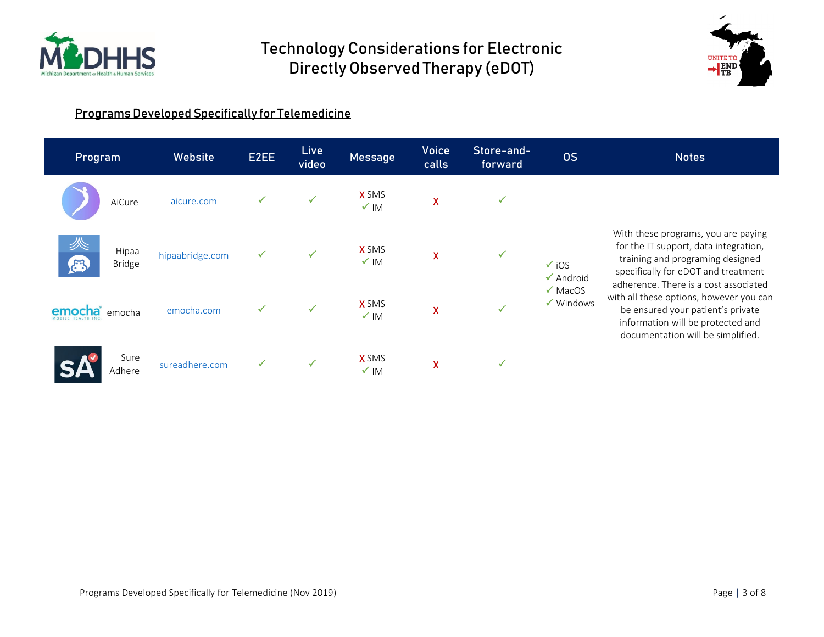



#### Programs Developed Specifically for Telemedicine

| Program                                       | Website         | E2EE | Live<br>video | <b>Message</b>                  | <b>Voice</b><br>calls | Store-and-<br>forward | <b>OS</b>                                                                                         | <b>Notes</b>                                                                                                                                                                                                                                                                                                                                               |
|-----------------------------------------------|-----------------|------|---------------|---------------------------------|-----------------------|-----------------------|---------------------------------------------------------------------------------------------------|------------------------------------------------------------------------------------------------------------------------------------------------------------------------------------------------------------------------------------------------------------------------------------------------------------------------------------------------------------|
| AiCure                                        | aicure.com      |      |               | <b>X</b> SMS<br>$\checkmark$ IM | $\mathsf{X}$          | √                     | $\checkmark$ iOS<br>$\sqrt{\phantom{a}}$ Android<br>$\sqrt{\text{MacOS}}$<br>$\checkmark$ Windows | With these programs, you are paying<br>for the IT support, data integration,<br>training and programing designed<br>specifically for eDOT and treatment<br>adherence. There is a cost associated<br>with all these options, however you can<br>be ensured your patient's private<br>information will be protected and<br>documentation will be simplified. |
| 终<br>Hipaa<br>$\mathbb{R}^3$<br><b>Bridge</b> | hipaabridge.com | ✓    |               | <b>X</b> SMS<br>$\checkmark$ IM | X                     | $\checkmark$          |                                                                                                   |                                                                                                                                                                                                                                                                                                                                                            |
| <b>ocha</b><br>emocha<br>MOBILE HEALTH INC    | emocha.com      |      | ✓             | <b>X</b> SMS<br>$\sqrt{}$ IM    | X                     |                       |                                                                                                   |                                                                                                                                                                                                                                                                                                                                                            |
| Sure<br>Adhere                                | sureadhere.com  |      |               | <b>X</b> SMS<br>$\sqrt{}$ IM    | X                     | ✓                     |                                                                                                   |                                                                                                                                                                                                                                                                                                                                                            |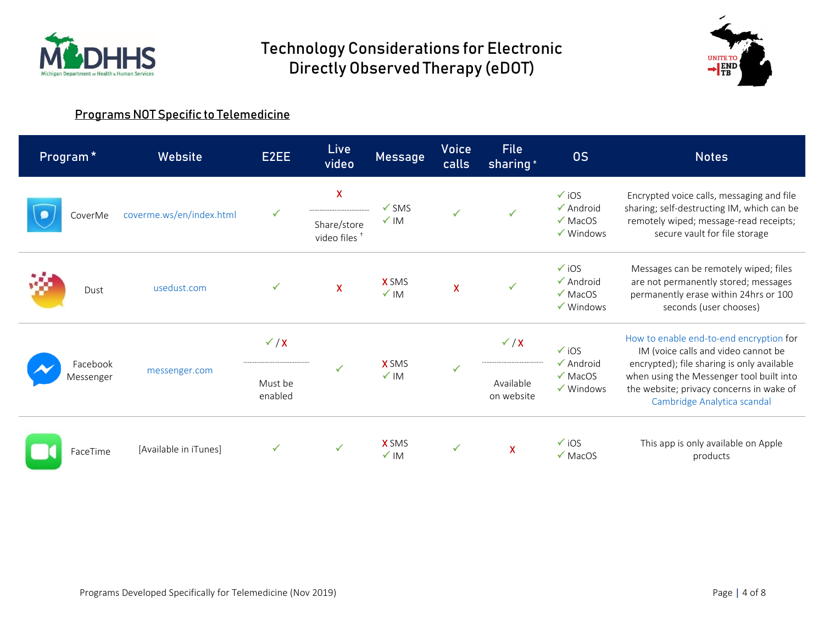



#### Programs NOT Specific to Telemedicine

|                       | Program <sup>*</sup> | Website                  | E2EE         | Live<br>video                                                      | <b>Message</b>                      | <b>Voice</b><br>calls     | File<br>sharing <sup>+</sup>                                                                      | <b>OS</b>                                                                                                                                                                                                                                           | <b>Notes</b>                                                                                                                                                       |
|-----------------------|----------------------|--------------------------|--------------|--------------------------------------------------------------------|-------------------------------------|---------------------------|---------------------------------------------------------------------------------------------------|-----------------------------------------------------------------------------------------------------------------------------------------------------------------------------------------------------------------------------------------------------|--------------------------------------------------------------------------------------------------------------------------------------------------------------------|
|                       | CoverMe              | coverme.ws/en/index.html | $\checkmark$ | $\overline{\mathsf{X}}$<br>Share/store<br>video files <sup>+</sup> | $\checkmark$ SMS<br>$\checkmark$ IM | $\checkmark$              |                                                                                                   | $\checkmark$ iOS<br>$\sqrt{\phantom{a}}$ Android<br>$\sqrt{\text{MacOS}}$<br>$\checkmark$ Windows                                                                                                                                                   | Encrypted voice calls, messaging and file<br>sharing; self-destructing IM, which can be<br>remotely wiped; message-read receipts;<br>secure vault for file storage |
|                       | Dust                 | usedust.com              | ✓            | $\mathsf{X}$                                                       | <b>X</b> SMS<br>$\checkmark$ IM     | $\boldsymbol{\mathsf{X}}$ | ✓                                                                                                 | $\checkmark$ iOS<br>$\checkmark$ Android<br>$\sqrt{\text{MacOS}}$<br>$\checkmark$ Windows                                                                                                                                                           | Messages can be remotely wiped; files<br>are not permanently stored; messages<br>permanently erase within 24hrs or 100<br>seconds (user chooses)                   |
| Facebook<br>Messenger | messenger.com        | $\checkmark$ / X         |              |                                                                    | $\checkmark$                        | $\checkmark$ / X          | $\checkmark$ iOS<br>$\sqrt{\phantom{a}}$ Android<br>$\sqrt{\text{MacOS}}$<br>$\checkmark$ Windows | How to enable end-to-end encryption for<br>IM (voice calls and video cannot be<br>encrypted); file sharing is only available<br>when using the Messenger tool built into<br>the website; privacy concerns in wake of<br>Cambridge Analytica scandal |                                                                                                                                                                    |
|                       |                      | Must be<br>enabled       | ✓            | <b>X</b> SMS<br>$\sqrt{}$ IM                                       |                                     | Available<br>on website   |                                                                                                   |                                                                                                                                                                                                                                                     |                                                                                                                                                                    |
|                       | FaceTime             | [Available in iTunes]    | ✓            | $\checkmark$                                                       | <b>X</b> SMS<br>$\sqrt{M}$          | $\checkmark$              | $\mathsf{\overline{X}}$                                                                           | $\sqrt{10S}$<br>$\sqrt{\text{MacOS}}$                                                                                                                                                                                                               | This app is only available on Apple<br>products                                                                                                                    |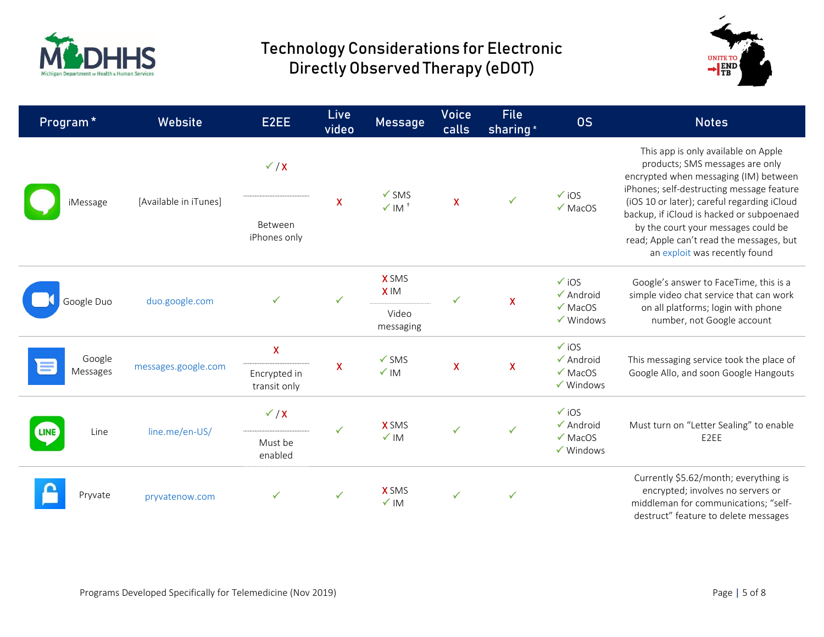



| Program <sup>*</sup> | Website               | E2EE                         | Live<br>video                      | Message                         | <b>Voice</b><br>calls                                                  | File<br>sharing <sup>*</sup> | <b>OS</b>                                                                                                                                                                                                    | <b>Notes</b>                                                                                                                                                 |
|----------------------|-----------------------|------------------------------|------------------------------------|---------------------------------|------------------------------------------------------------------------|------------------------------|--------------------------------------------------------------------------------------------------------------------------------------------------------------------------------------------------------------|--------------------------------------------------------------------------------------------------------------------------------------------------------------|
|                      |                       | $\checkmark$ / X             |                                    | $\checkmark$ SMS                | $\checkmark$ iOS<br>$\checkmark$<br>$\mathsf{X}$<br>$\checkmark$ MacOS |                              |                                                                                                                                                                                                              | This app is only available on Apple<br>products; SMS messages are only<br>encrypted when messaging (IM) between<br>iPhones; self-destructing message feature |
| iMessage             | [Available in iTunes] | Between<br>iPhones only      | $\pmb{\mathsf{X}}$                 | $\times$ IM <sup>+</sup>        |                                                                        |                              | (iOS 10 or later); careful regarding iCloud<br>backup, if iCloud is hacked or subpoenaed<br>by the court your messages could be<br>read; Apple can't read the messages, but<br>an exploit was recently found |                                                                                                                                                              |
| Google Duo           | duo.google.com        | ✓                            | ✓                                  | <b>X</b> SMS<br><b>XIM</b>      |                                                                        | $\mathsf{\chi}$              | $\checkmark$ iOS<br>$\checkmark$ Android<br>$\checkmark$ MacOS<br>$\checkmark$ Windows                                                                                                                       | Google's answer to FaceTime, this is a<br>simple video chat service that can work<br>on all platforms; login with phone<br>number, not Google account        |
|                      |                       |                              |                                    | Video<br>messaging              |                                                                        |                              |                                                                                                                                                                                                              |                                                                                                                                                              |
| Google               |                       | X                            |                                    | $\checkmark$ SMS                |                                                                        | $\mathsf{X}$                 | $\checkmark$ iOS<br>$\checkmark$ Android                                                                                                                                                                     | This messaging service took the place of<br>Google Allo, and soon Google Hangouts                                                                            |
| Messages             | messages.google.com   | Encrypted in<br>transit only | $\pmb{\mathsf{X}}$                 | $\checkmark$ IM                 | $\mathsf{X}$                                                           |                              | $\checkmark$ MacOS<br>$\checkmark$ Windows                                                                                                                                                                   |                                                                                                                                                              |
| Line<br><b>LINE</b>  | line.me/en-US/        | $\checkmark$ / X             | $\checkmark$<br>Must be<br>enabled | <b>X</b> SMS<br>$\checkmark$ IM | ✓                                                                      | $\checkmark$                 | $\checkmark$ iOS<br>$\checkmark$ Android<br>$\checkmark$ MacOS<br>$\checkmark$ Windows                                                                                                                       | Must turn on "Letter Sealing" to enable<br>E2EE                                                                                                              |
|                      |                       |                              |                                    |                                 |                                                                        |                              |                                                                                                                                                                                                              |                                                                                                                                                              |
| Pryvate              | pryvatenow.com        | ✓                            | ✓                                  | <b>X</b> SMS<br>$\times$ IM     | $\checkmark$                                                           |                              |                                                                                                                                                                                                              | Currently \$5.62/month; everything is<br>encrypted; involves no servers or<br>middleman for communications; "self-<br>destruct" feature to delete messages   |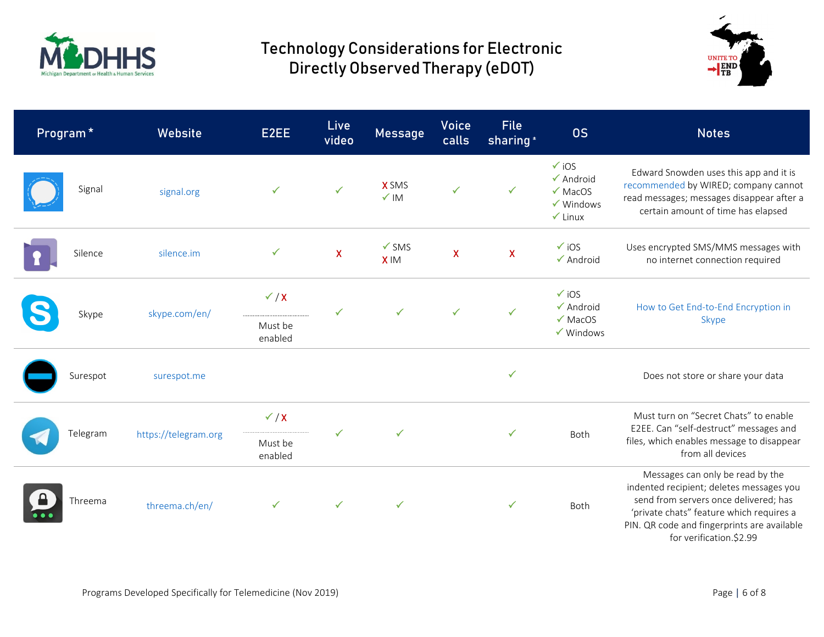



| Program* | <b>Website</b>       | E2EE                                   | Live<br>video             | Message                         | <b>Voice</b><br>calls | <b>File</b><br>sharing <sup>*</sup> | <b>OS</b>                                                                                                    | <b>Notes</b>                                                                                                                                                                                                                                |
|----------|----------------------|----------------------------------------|---------------------------|---------------------------------|-----------------------|-------------------------------------|--------------------------------------------------------------------------------------------------------------|---------------------------------------------------------------------------------------------------------------------------------------------------------------------------------------------------------------------------------------------|
| Signal   | signal.org           | ✓                                      | $\checkmark$              | <b>X</b> SMS<br>$\checkmark$ IM | $\checkmark$          | ✓                                   | $\checkmark$ iOS<br>$\checkmark$ Android<br>$\checkmark$ MacOS<br>$\checkmark$ Windows<br>$\checkmark$ Linux | Edward Snowden uses this app and it is<br>recommended by WIRED; company cannot<br>read messages; messages disappear after a<br>certain amount of time has elapsed                                                                           |
| Silence  | silence.im           | $\checkmark$                           | $\boldsymbol{\mathsf{X}}$ | $\checkmark$ SMS<br><b>XIM</b>  | $\pmb{\mathsf{X}}$    | $\pmb{\mathsf{X}}$                  | $\checkmark$ iOS<br>$\checkmark$ Android                                                                     | Uses encrypted SMS/MMS messages with<br>no internet connection required                                                                                                                                                                     |
| Skype    | skype.com/en/        | $\checkmark$ / X<br>Must be<br>enabled | ✓                         | ✓                               | $\checkmark$          | $\checkmark$                        | $\checkmark$ iOS<br>$\checkmark$ Android<br>$\checkmark$ MacOS<br>$\checkmark$ Windows                       | How to Get End-to-End Encryption in<br>Skype                                                                                                                                                                                                |
| Surespot | surespot.me          |                                        |                           |                                 |                       | ✓                                   |                                                                                                              | Does not store or share your data                                                                                                                                                                                                           |
| Telegram | https://telegram.org | $\checkmark$ / X<br>Must be<br>enabled |                           | $\checkmark$                    |                       | $\checkmark$                        | Both                                                                                                         | Must turn on "Secret Chats" to enable<br>E2EE. Can "self-destruct" messages and<br>files, which enables message to disappear<br>from all devices                                                                                            |
| Threema  | threema.ch/en/       | $\checkmark$                           | $\checkmark$              | $\checkmark$                    |                       | $\checkmark$                        | Both                                                                                                         | Messages can only be read by the<br>indented recipient; deletes messages you<br>send from servers once delivered; has<br>'private chats" feature which requires a<br>PIN. QR code and fingerprints are available<br>for verification.\$2.99 |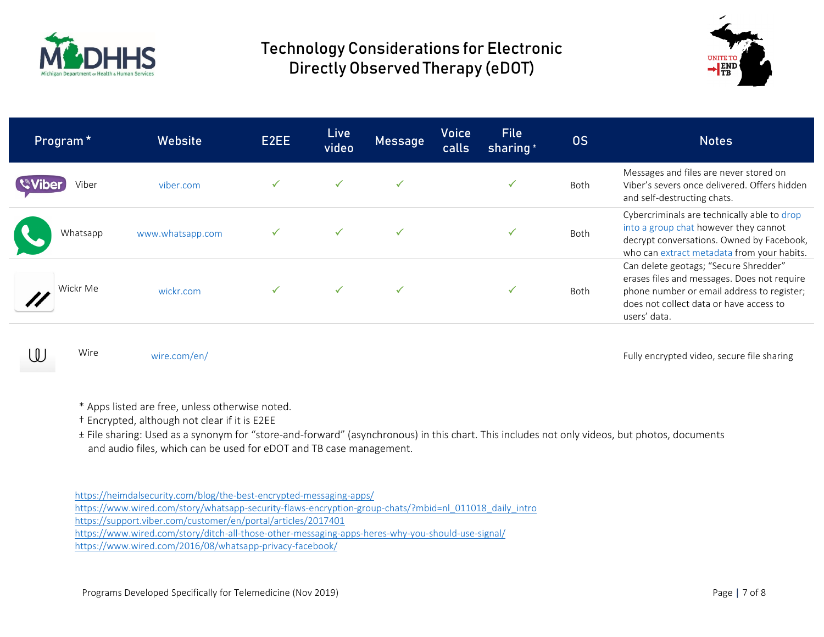



| Program <sup>*</sup> | <b>Website</b>   | E2EE | <b>Live</b><br>video | Message | <b>Voice</b><br>calls | <b>File</b><br>sharing <sup>*</sup> | <b>OS</b>   | <b>Notes</b>                                                                                                                                                                                  |
|----------------------|------------------|------|----------------------|---------|-----------------------|-------------------------------------|-------------|-----------------------------------------------------------------------------------------------------------------------------------------------------------------------------------------------|
| Viber                | viber.com        |      |                      |         |                       |                                     | <b>Both</b> | Messages and files are never stored on<br>Viber's severs once delivered. Offers hidden<br>and self-destructing chats.                                                                         |
| Whatsapp             | www.whatsapp.com |      |                      |         |                       |                                     | Both        | Cybercriminals are technically able to drop<br>into a group chat however they cannot<br>decrypt conversations. Owned by Facebook,<br>who can extract metadata from your habits.               |
| Wickr Me             | wickr.com        |      |                      |         |                       |                                     | Both        | Can delete geotags; "Secure Shredder"<br>erases files and messages. Does not require<br>phone number or email address to register;<br>does not collect data or have access to<br>users' data. |

Wire

[wire.com/en/](https://wire.com/en/) **Fully encrypted video, secure file sharing**  $\blacksquare$  Fully encrypted video, secure file sharing

- \* Apps listed are free, unless otherwise noted.
- † Encrypted, although not clear if it is E2EE
- ± File sharing: Used as a synonym for "store-and-forward" (asynchronous) in this chart. This includes not only videos, but photos, documents and audio files, which can be used for eDOT and TB case management.

<https://heimdalsecurity.com/blog/the-best-encrypted-messaging-apps/>

[https://www.wired.com/story/whatsapp-security-flaws-encryption-group-chats/?mbid=nl\\_011018\\_daily\\_intro](https://www.wired.com/story/whatsapp-security-flaws-encryption-group-chats/?mbid=nl_011018_daily_intro)

<https://support.viber.com/customer/en/portal/articles/2017401>

<https://www.wired.com/story/ditch-all-those-other-messaging-apps-heres-why-you-should-use-signal/>

<https://www.wired.com/2016/08/whatsapp-privacy-facebook/>